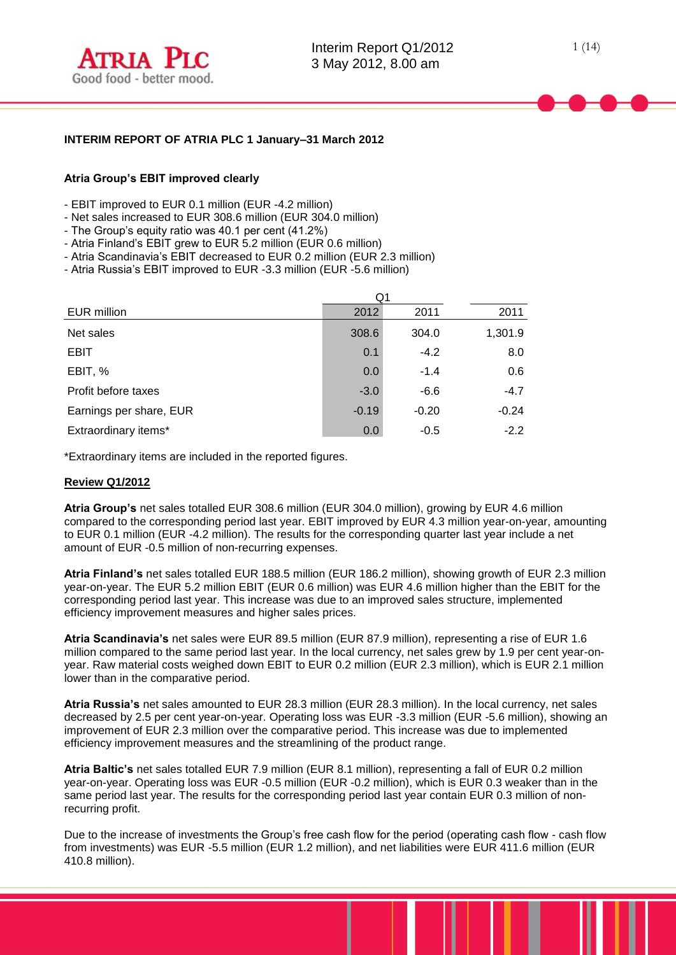

## **INTERIM REPORT OF ATRIA PLC 1 January–31 March 2012**

#### **Atria Group's EBIT improved clearly**

- EBIT improved to EUR 0.1 million (EUR -4.2 million)
- Net sales increased to EUR 308.6 million (EUR 304.0 million)
- The Group's equity ratio was 40.1 per cent (41.2%)
- Atria Finland's EBIT grew to EUR 5.2 million (EUR 0.6 million)
- Atria Scandinavia's EBIT decreased to EUR 0.2 million (EUR 2.3 million)
- Atria Russia's EBIT improved to EUR -3.3 million (EUR -5.6 million)

|                         | Q1      |         |         |
|-------------------------|---------|---------|---------|
| EUR million             | 2012    | 2011    | 2011    |
| Net sales               | 308.6   | 304.0   | 1,301.9 |
| <b>EBIT</b>             | 0.1     | $-4.2$  | 8.0     |
| EBIT, %                 | 0.0     | $-1.4$  | 0.6     |
| Profit before taxes     | $-3.0$  | $-6.6$  | $-4.7$  |
| Earnings per share, EUR | $-0.19$ | $-0.20$ | $-0.24$ |
| Extraordinary items*    | 0.0     | $-0.5$  | $-2.2$  |

\*Extraordinary items are included in the reported figures.

#### **Review Q1/2012**

**Atria Group's** net sales totalled EUR 308.6 million (EUR 304.0 million), growing by EUR 4.6 million compared to the corresponding period last year. EBIT improved by EUR 4.3 million year-on-year, amounting to EUR 0.1 million (EUR -4.2 million). The results for the corresponding quarter last year include a net amount of EUR -0.5 million of non-recurring expenses.

**Atria Finland's** net sales totalled EUR 188.5 million (EUR 186.2 million), showing growth of EUR 2.3 million year-on-year. The EUR 5.2 million EBIT (EUR 0.6 million) was EUR 4.6 million higher than the EBIT for the corresponding period last year. This increase was due to an improved sales structure, implemented efficiency improvement measures and higher sales prices.

**Atria Scandinavia's** net sales were EUR 89.5 million (EUR 87.9 million), representing a rise of EUR 1.6 million compared to the same period last year. In the local currency, net sales grew by 1.9 per cent year-onyear. Raw material costs weighed down EBIT to EUR 0.2 million (EUR 2.3 million), which is EUR 2.1 million lower than in the comparative period.

**Atria Russia's** net sales amounted to EUR 28.3 million (EUR 28.3 million). In the local currency, net sales decreased by 2.5 per cent year-on-year. Operating loss was EUR -3.3 million (EUR -5.6 million), showing an improvement of EUR 2.3 million over the comparative period. This increase was due to implemented efficiency improvement measures and the streamlining of the product range.

**Atria Baltic's** net sales totalled EUR 7.9 million (EUR 8.1 million), representing a fall of EUR 0.2 million year-on-year. Operating loss was EUR -0.5 million (EUR -0.2 million), which is EUR 0.3 weaker than in the same period last year. The results for the corresponding period last year contain EUR 0.3 million of nonrecurring profit.

Due to the increase of investments the Group's free cash flow for the period (operating cash flow - cash flow from investments) was EUR -5.5 million (EUR 1.2 million), and net liabilities were EUR 411.6 million (EUR 410.8 million).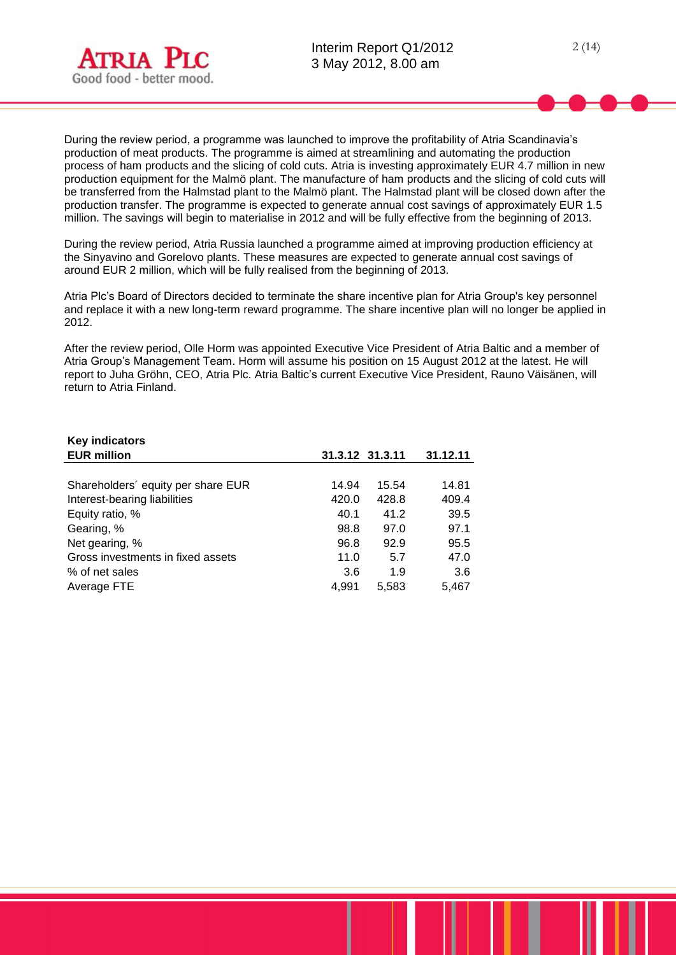

During the review period, a programme was launched to improve the profitability of Atria Scandinavia's production of meat products. The programme is aimed at streamlining and automating the production process of ham products and the slicing of cold cuts. Atria is investing approximately EUR 4.7 million in new production equipment for the Malmö plant. The manufacture of ham products and the slicing of cold cuts will be transferred from the Halmstad plant to the Malmö plant. The Halmstad plant will be closed down after the production transfer. The programme is expected to generate annual cost savings of approximately EUR 1.5 million. The savings will begin to materialise in 2012 and will be fully effective from the beginning of 2013.

During the review period, Atria Russia launched a programme aimed at improving production efficiency at the Sinyavino and Gorelovo plants. These measures are expected to generate annual cost savings of around EUR 2 million, which will be fully realised from the beginning of 2013.

Atria Plc's Board of Directors decided to terminate the share incentive plan for Atria Group's key personnel and replace it with a new long-term reward programme. The share incentive plan will no longer be applied in 2012.

After the review period, Olle Horm was appointed Executive Vice President of Atria Baltic and a member of Atria Group's Management Team. Horm will assume his position on 15 August 2012 at the latest. He will report to Juha Gröhn, CEO, Atria Plc. Atria Baltic's current Executive Vice President, Rauno Väisänen, will return to Atria Finland.

| <b>Key indicators</b>              |                 |       |          |
|------------------------------------|-----------------|-------|----------|
| <b>EUR million</b>                 | 31.3.12 31.3.11 |       | 31.12.11 |
|                                    |                 |       |          |
| Shareholders' equity per share EUR | 14.94           | 15.54 | 14.81    |
| Interest-bearing liabilities       | 420.0           | 428.8 | 409.4    |
| Equity ratio, %                    | 40.1            | 41.2  | 39.5     |
| Gearing, %                         | 98.8            | 97.0  | 97.1     |
| Net gearing, %                     | 96.8            | 92.9  | 95.5     |
| Gross investments in fixed assets  | 11.0            | 5.7   | 47.0     |
| % of net sales                     | 3.6             | 1.9   | 3.6      |
| Average FTE                        | 4.991           | 5,583 | 5,467    |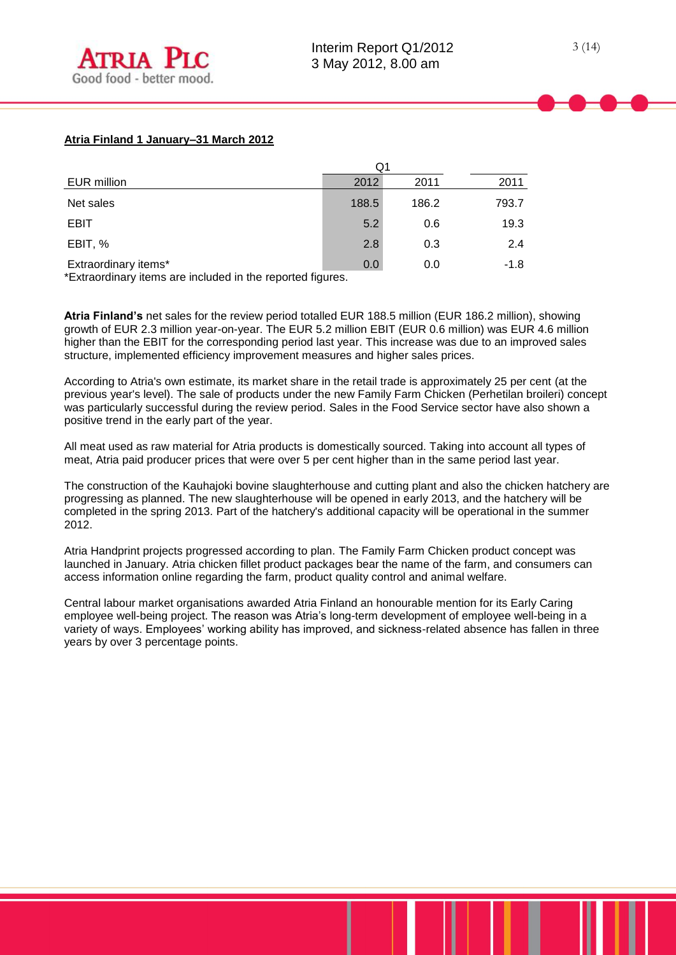|                      | Q1    |       |        |
|----------------------|-------|-------|--------|
| EUR million          | 2012  | 2011  | 2011   |
| Net sales            | 188.5 | 186.2 | 793.7  |
| <b>EBIT</b>          | 5.2   | 0.6   | 19.3   |
| EBIT, %              | 2.8   | 0.3   | 2.4    |
| Extraordinary items* | 0.0   | 0.0   | $-1.8$ |

\*Extraordinary items are included in the reported figures.

**Atria Finland's** net sales for the review period totalled EUR 188.5 million (EUR 186.2 million), showing growth of EUR 2.3 million year-on-year. The EUR 5.2 million EBIT (EUR 0.6 million) was EUR 4.6 million higher than the EBIT for the corresponding period last year. This increase was due to an improved sales structure, implemented efficiency improvement measures and higher sales prices.

According to Atria's own estimate, its market share in the retail trade is approximately 25 per cent (at the previous year's level). The sale of products under the new Family Farm Chicken (Perhetilan broileri) concept was particularly successful during the review period. Sales in the Food Service sector have also shown a positive trend in the early part of the year.

All meat used as raw material for Atria products is domestically sourced. Taking into account all types of meat, Atria paid producer prices that were over 5 per cent higher than in the same period last year.

The construction of the Kauhajoki bovine slaughterhouse and cutting plant and also the chicken hatchery are progressing as planned. The new slaughterhouse will be opened in early 2013, and the hatchery will be completed in the spring 2013. Part of the hatchery's additional capacity will be operational in the summer 2012.

Atria Handprint projects progressed according to plan. The Family Farm Chicken product concept was launched in January. Atria chicken fillet product packages bear the name of the farm, and consumers can access information online regarding the farm, product quality control and animal welfare.

Central labour market organisations awarded Atria Finland an honourable mention for its Early Caring employee well-being project. The reason was Atria's long-term development of employee well-being in a variety of ways. Employees' working ability has improved, and sickness-related absence has fallen in three years by over 3 percentage points.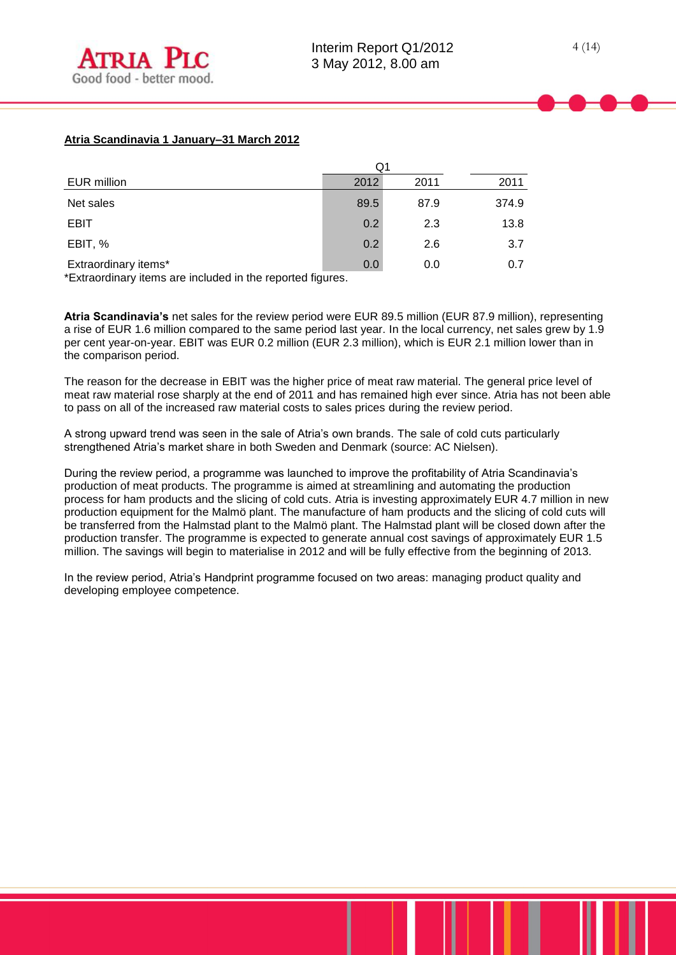# **Atria Scandinavia 1 January–31 March 2012**

|                      | Q1   |      |       |
|----------------------|------|------|-------|
| EUR million          | 2012 | 2011 | 2011  |
| Net sales            | 89.5 | 87.9 | 374.9 |
| <b>EBIT</b>          | 0.2  | 2.3  | 13.8  |
| EBIT, %              | 0.2  | 2.6  | 3.7   |
| Extraordinary items* | 0.0  | 0.0  | 0.7   |

\*Extraordinary items are included in the reported figures.

**Atria Scandinavia's** net sales for the review period were EUR 89.5 million (EUR 87.9 million), representing a rise of EUR 1.6 million compared to the same period last year. In the local currency, net sales grew by 1.9 per cent year-on-year. EBIT was EUR 0.2 million (EUR 2.3 million), which is EUR 2.1 million lower than in the comparison period.

The reason for the decrease in EBIT was the higher price of meat raw material. The general price level of meat raw material rose sharply at the end of 2011 and has remained high ever since. Atria has not been able to pass on all of the increased raw material costs to sales prices during the review period.

A strong upward trend was seen in the sale of Atria's own brands. The sale of cold cuts particularly strengthened Atria's market share in both Sweden and Denmark (source: AC Nielsen).

During the review period, a programme was launched to improve the profitability of Atria Scandinavia's production of meat products. The programme is aimed at streamlining and automating the production process for ham products and the slicing of cold cuts. Atria is investing approximately EUR 4.7 million in new production equipment for the Malmö plant. The manufacture of ham products and the slicing of cold cuts will be transferred from the Halmstad plant to the Malmö plant. The Halmstad plant will be closed down after the production transfer. The programme is expected to generate annual cost savings of approximately EUR 1.5 million. The savings will begin to materialise in 2012 and will be fully effective from the beginning of 2013.

In the review period, Atria's Handprint programme focused on two areas: managing product quality and developing employee competence.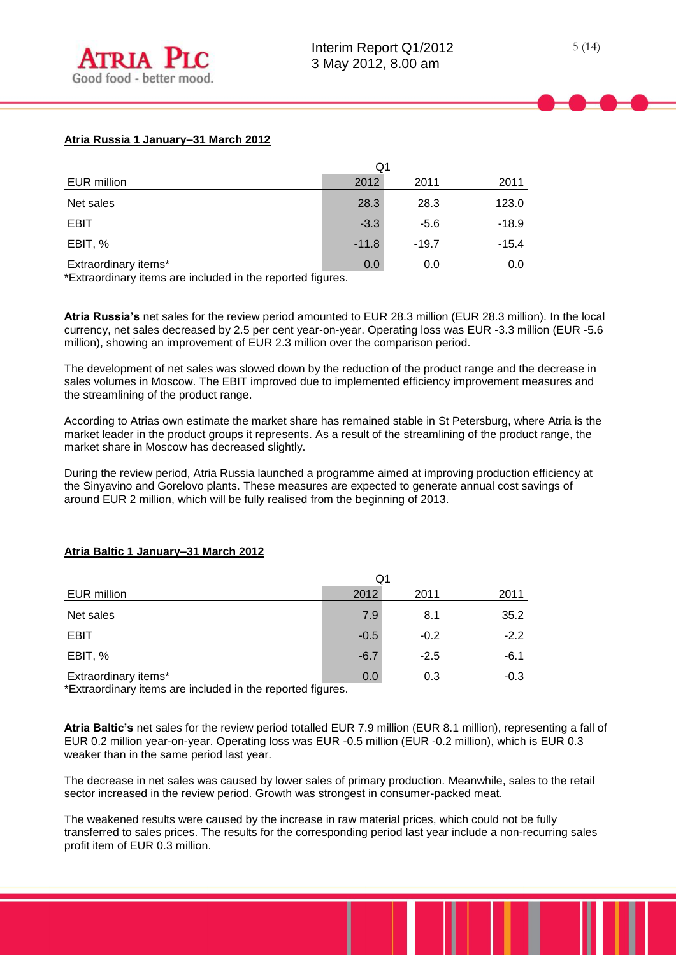# **Atria Russia 1 January–31 March 2012**

|                      | Q1      |         |         |
|----------------------|---------|---------|---------|
| EUR million          | 2012    | 2011    | 2011    |
| Net sales            | 28.3    | 28.3    | 123.0   |
| <b>EBIT</b>          | $-3.3$  | $-5.6$  | $-18.9$ |
| EBIT, %              | $-11.8$ | $-19.7$ | $-15.4$ |
| Extraordinary items* | 0.0     | 0.0     | 0.0     |

\*Extraordinary items are included in the reported figures.

**Atria Russia's** net sales for the review period amounted to EUR 28.3 million (EUR 28.3 million). In the local currency, net sales decreased by 2.5 per cent year-on-year. Operating loss was EUR -3.3 million (EUR -5.6 million), showing an improvement of EUR 2.3 million over the comparison period.

The development of net sales was slowed down by the reduction of the product range and the decrease in sales volumes in Moscow. The EBIT improved due to implemented efficiency improvement measures and the streamlining of the product range.

According to Atrias own estimate the market share has remained stable in St Petersburg, where Atria is the market leader in the product groups it represents. As a result of the streamlining of the product range, the market share in Moscow has decreased slightly.

During the review period, Atria Russia launched a programme aimed at improving production efficiency at the Sinyavino and Gorelovo plants. These measures are expected to generate annual cost savings of around EUR 2 million, which will be fully realised from the beginning of 2013.

# $O<sub>1</sub>$ EUR million 2012 2011 2011 **Net sales 6 8.1 35.2 7.9 8.1 35.2**  $EBIT$  -0.5 -0.2 -2.2 **EBIT, % -6.7** -2.5 -6.1

### **Atria Baltic 1 January–31 March 2012**

Extraordinary items\* by the contract of the contract of the contract of the contract of the contract of the contract of the contract of the contract of the contract of the contract of the contract of the contract of the co

\*Extraordinary items are included in the reported figures.

**Atria Baltic's** net sales for the review period totalled EUR 7.9 million (EUR 8.1 million), representing a fall of EUR 0.2 million year-on-year. Operating loss was EUR -0.5 million (EUR -0.2 million), which is EUR 0.3 weaker than in the same period last year.

The decrease in net sales was caused by lower sales of primary production. Meanwhile, sales to the retail sector increased in the review period. Growth was strongest in consumer-packed meat.

The weakened results were caused by the increase in raw material prices, which could not be fully transferred to sales prices. The results for the corresponding period last year include a non-recurring sales profit item of EUR 0.3 million.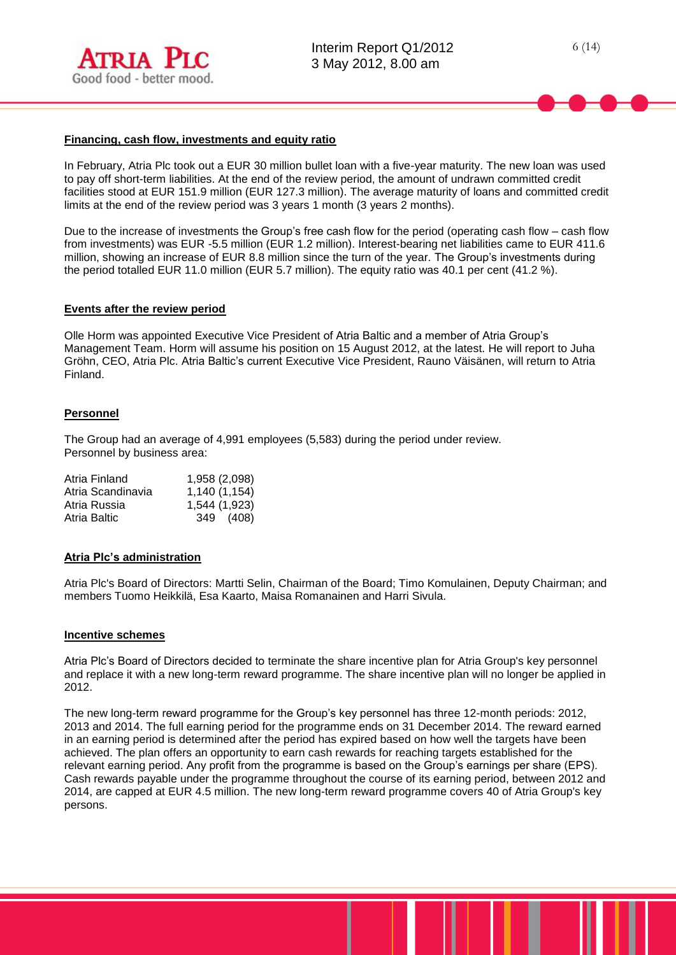

#### **Financing, cash flow, investments and equity ratio**

In February, Atria Plc took out a EUR 30 million bullet loan with a five-year maturity. The new loan was used to pay off short-term liabilities. At the end of the review period, the amount of undrawn committed credit facilities stood at EUR 151.9 million (EUR 127.3 million). The average maturity of loans and committed credit limits at the end of the review period was 3 years 1 month (3 years 2 months).

Due to the increase of investments the Group's free cash flow for the period (operating cash flow – cash flow from investments) was EUR -5.5 million (EUR 1.2 million). Interest-bearing net liabilities came to EUR 411.6 million, showing an increase of EUR 8.8 million since the turn of the year. The Group's investments during the period totalled EUR 11.0 million (EUR 5.7 million). The equity ratio was 40.1 per cent (41.2 %).

#### **Events after the review period**

Olle Horm was appointed Executive Vice President of Atria Baltic and a member of Atria Group's Management Team. Horm will assume his position on 15 August 2012, at the latest. He will report to Juha Gröhn, CEO, Atria Plc. Atria Baltic's current Executive Vice President, Rauno Väisänen, will return to Atria Finland.

#### **Personnel**

The Group had an average of 4,991 employees (5,583) during the period under review. Personnel by business area:

| Atria Finland     | 1,958 (2,098) |
|-------------------|---------------|
| Atria Scandinavia | 1,140 (1,154) |
| Atria Russia      | 1,544 (1,923) |
| Atria Baltic      | 349 (408)     |
|                   |               |

#### **Atria Plc's administration**

Atria Plc's Board of Directors: Martti Selin, Chairman of the Board; Timo Komulainen, Deputy Chairman; and members Tuomo Heikkilä, Esa Kaarto, Maisa Romanainen and Harri Sivula.

#### **Incentive schemes**

Atria Plc's Board of Directors decided to terminate the share incentive plan for Atria Group's key personnel and replace it with a new long-term reward programme. The share incentive plan will no longer be applied in 2012.

The new long-term reward programme for the Group's key personnel has three 12-month periods: 2012, 2013 and 2014. The full earning period for the programme ends on 31 December 2014. The reward earned in an earning period is determined after the period has expired based on how well the targets have been achieved. The plan offers an opportunity to earn cash rewards for reaching targets established for the relevant earning period. Any profit from the programme is based on the Group's earnings per share (EPS). Cash rewards payable under the programme throughout the course of its earning period, between 2012 and 2014, are capped at EUR 4.5 million. The new long-term reward programme covers 40 of Atria Group's key persons.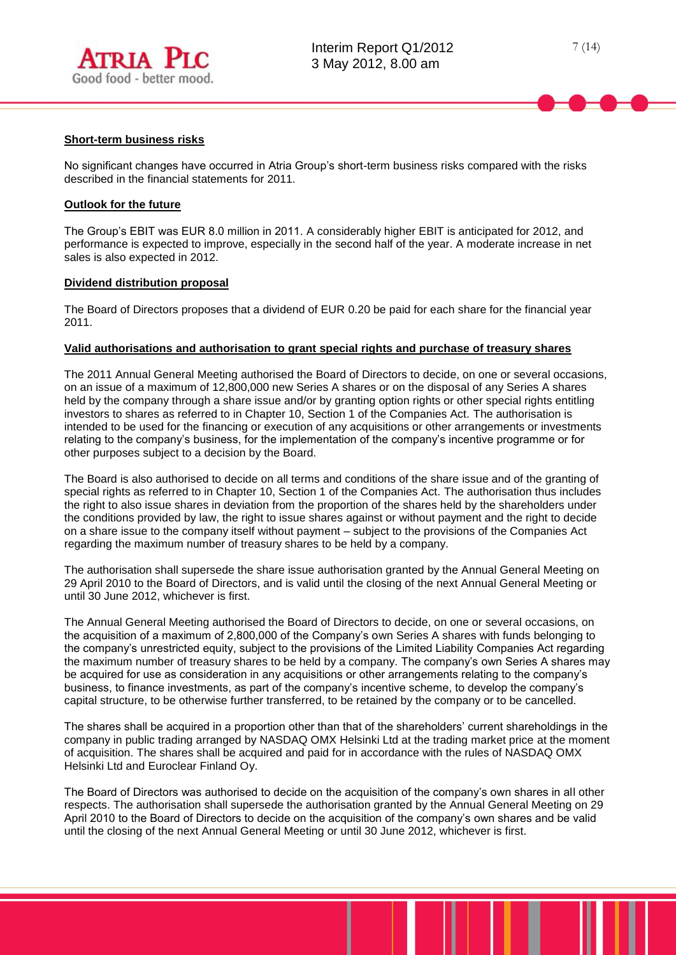

#### **Short-term business risks**

No significant changes have occurred in Atria Group's short-term business risks compared with the risks described in the financial statements for 2011.

#### **Outlook for the future**

The Group's EBIT was EUR 8.0 million in 2011. A considerably higher EBIT is anticipated for 2012, and performance is expected to improve, especially in the second half of the year. A moderate increase in net sales is also expected in 2012.

#### **Dividend distribution proposal**

The Board of Directors proposes that a dividend of EUR 0.20 be paid for each share for the financial year 2011.

#### **Valid authorisations and authorisation to grant special rights and purchase of treasury shares**

The 2011 Annual General Meeting authorised the Board of Directors to decide, on one or several occasions, on an issue of a maximum of 12,800,000 new Series A shares or on the disposal of any Series A shares held by the company through a share issue and/or by granting option rights or other special rights entitling investors to shares as referred to in Chapter 10, Section 1 of the Companies Act. The authorisation is intended to be used for the financing or execution of any acquisitions or other arrangements or investments relating to the company's business, for the implementation of the company's incentive programme or for other purposes subject to a decision by the Board.

The Board is also authorised to decide on all terms and conditions of the share issue and of the granting of special rights as referred to in Chapter 10, Section 1 of the Companies Act. The authorisation thus includes the right to also issue shares in deviation from the proportion of the shares held by the shareholders under the conditions provided by law, the right to issue shares against or without payment and the right to decide on a share issue to the company itself without payment – subject to the provisions of the Companies Act regarding the maximum number of treasury shares to be held by a company.

The authorisation shall supersede the share issue authorisation granted by the Annual General Meeting on 29 April 2010 to the Board of Directors, and is valid until the closing of the next Annual General Meeting or until 30 June 2012, whichever is first.

The Annual General Meeting authorised the Board of Directors to decide, on one or several occasions, on the acquisition of a maximum of 2,800,000 of the Company's own Series A shares with funds belonging to the company's unrestricted equity, subject to the provisions of the Limited Liability Companies Act regarding the maximum number of treasury shares to be held by a company. The company's own Series A shares may be acquired for use as consideration in any acquisitions or other arrangements relating to the company's business, to finance investments, as part of the company's incentive scheme, to develop the company's capital structure, to be otherwise further transferred, to be retained by the company or to be cancelled.

The shares shall be acquired in a proportion other than that of the shareholders' current shareholdings in the company in public trading arranged by NASDAQ OMX Helsinki Ltd at the trading market price at the moment of acquisition. The shares shall be acquired and paid for in accordance with the rules of NASDAQ OMX Helsinki Ltd and Euroclear Finland Oy.

The Board of Directors was authorised to decide on the acquisition of the company's own shares in all other respects. The authorisation shall supersede the authorisation granted by the Annual General Meeting on 29 April 2010 to the Board of Directors to decide on the acquisition of the company's own shares and be valid until the closing of the next Annual General Meeting or until 30 June 2012, whichever is first.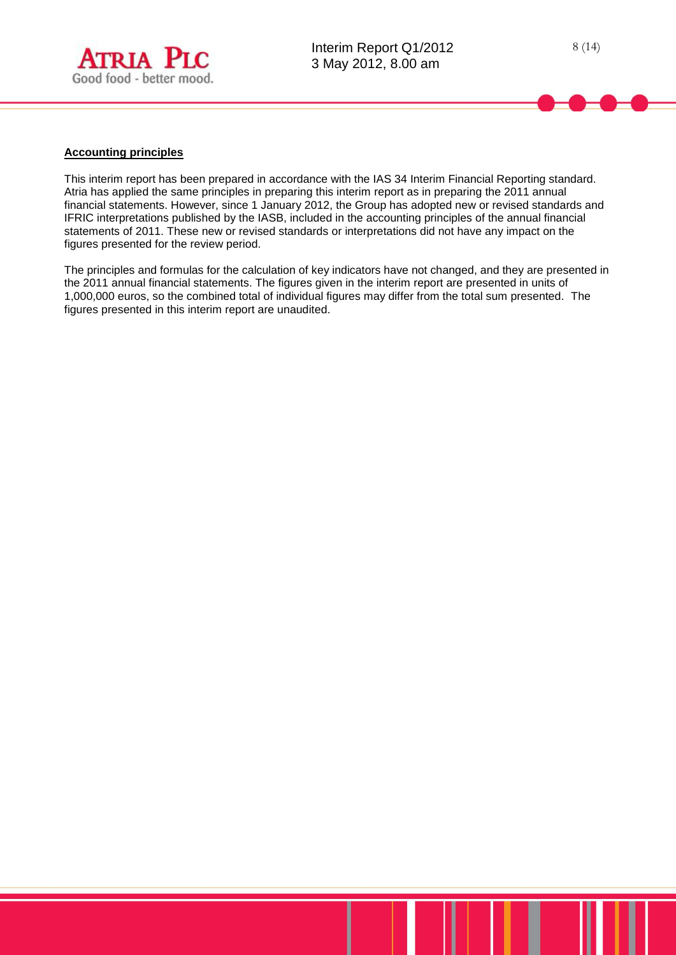

#### **Accounting principles**

This interim report has been prepared in accordance with the IAS 34 Interim Financial Reporting standard. Atria has applied the same principles in preparing this interim report as in preparing the 2011 annual financial statements. However, since 1 January 2012, the Group has adopted new or revised standards and IFRIC interpretations published by the IASB, included in the accounting principles of the annual financial statements of 2011. These new or revised standards or interpretations did not have any impact on the figures presented for the review period.

The principles and formulas for the calculation of key indicators have not changed, and they are presented in the 2011 annual financial statements. The figures given in the interim report are presented in units of 1,000,000 euros, so the combined total of individual figures may differ from the total sum presented. The figures presented in this interim report are unaudited.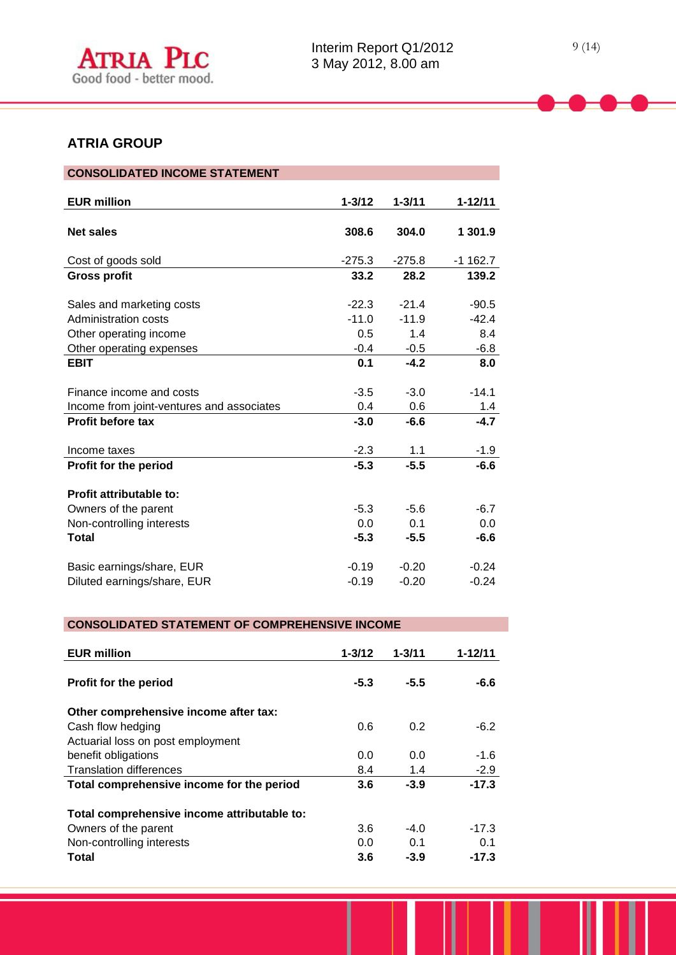# **ATRIA GROUP**

| <b>CONSOLIDATED INCOME STATEMENT</b>                                  |                    |                    |                    |
|-----------------------------------------------------------------------|--------------------|--------------------|--------------------|
| <b>EUR million</b>                                                    | $1 - 3/12$         | $1 - 3/11$         | 1-12/11            |
| <b>Net sales</b>                                                      | 308.6              | 304.0              | 1 301.9            |
| Cost of goods sold                                                    | $-275.3$           | $-275.8$           | $-1$ 162.7         |
| <b>Gross profit</b>                                                   | 33.2               | 28.2               | 139.2              |
| Sales and marketing costs                                             | $-22.3$            | $-21.4$            | $-90.5$            |
| Administration costs                                                  | $-11.0$            | $-11.9$            | $-42.4$            |
| Other operating income                                                | 0.5                | 1.4                | 8.4                |
| Other operating expenses                                              | $-0.4$             | $-0.5$             | $-6.8$             |
| <b>EBIT</b>                                                           | 0.1                | $-4.2$             | 8.0                |
| Finance income and costs<br>Income from joint-ventures and associates | $-3.5$<br>0.4      | $-3.0$<br>0.6      | $-14.1$<br>$1.4$   |
| <b>Profit before tax</b>                                              | $-3.0$             | $-6.6$             | $-4.7$             |
| Income taxes                                                          | $-2.3$             | 1.1                | $-1.9$             |
| <b>Profit for the period</b>                                          | $-5.3$             | $-5.5$             | $-6.6$             |
| Profit attributable to:<br>Owners of the parent                       | $-5.3$             | $-5.6$             | $-6.7$             |
| Non-controlling interests                                             | 0.0                | 0.1                | 0.0                |
| <b>Total</b>                                                          | $-5.3$             | $-5.5$             | $-6.6$             |
| Basic earnings/share, EUR<br>Diluted earnings/share, EUR              | $-0.19$<br>$-0.19$ | $-0.20$<br>$-0.20$ | $-0.24$<br>$-0.24$ |

# **CONSOLIDATED STATEMENT OF COMPREHENSIVE INCOME**

| <b>EUR million</b>                          | $1 - 3/12$ | $1 - 3/11$ | $1 - 12/11$ |
|---------------------------------------------|------------|------------|-------------|
| <b>Profit for the period</b>                | $-5.3$     | $-5.5$     | -6.6        |
| Other comprehensive income after tax:       |            |            |             |
| Cash flow hedging                           | 0.6        | 0.2        | $-6.2$      |
| Actuarial loss on post employment           |            |            |             |
| benefit obligations                         | 0.0        | 0.0        | $-1.6$      |
| <b>Translation differences</b>              | 8.4        | 1.4        | $-2.9$      |
| Total comprehensive income for the period   | 3.6        | $-3.9$     | $-17.3$     |
| Total comprehensive income attributable to: |            |            |             |
| Owners of the parent                        | 3.6        | $-4.0$     | $-17.3$     |
| Non-controlling interests                   | 0.0        | 0.1        | 0.1         |
| Total                                       | 3.6        | $-3.9$     | $-17.3$     |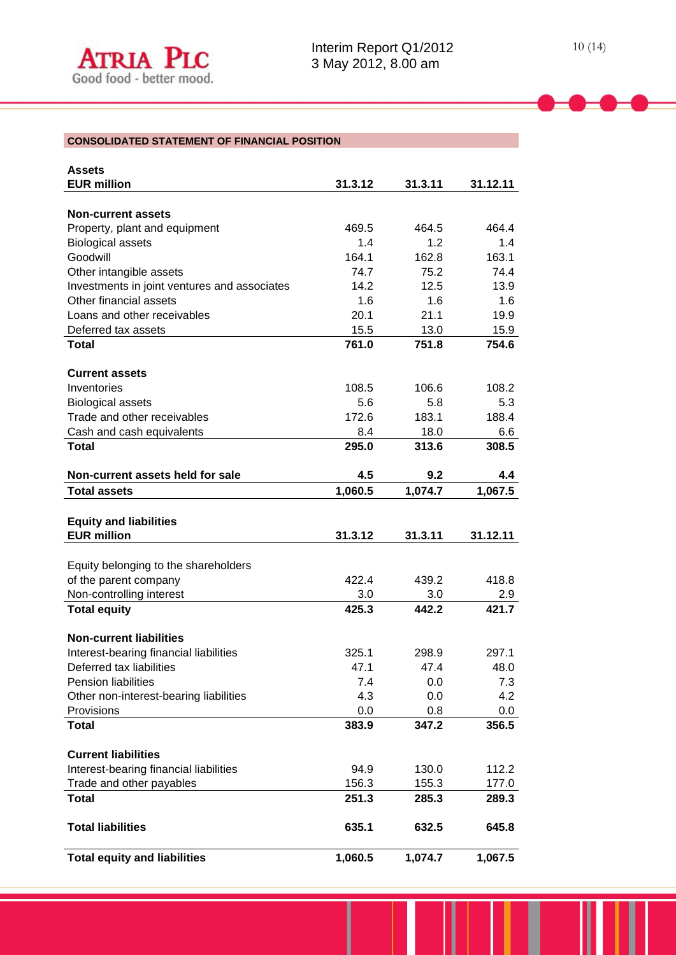# **CONSOLIDATED STATEMENT OF FINANCIAL POSITION**

| <b>Assets</b>                                |         |         |          |
|----------------------------------------------|---------|---------|----------|
| <b>EUR million</b>                           | 31.3.12 | 31.3.11 | 31.12.11 |
|                                              |         |         |          |
| <b>Non-current assets</b>                    |         |         |          |
| Property, plant and equipment                | 469.5   | 464.5   | 464.4    |
| <b>Biological assets</b>                     | 1.4     | 1.2     | 1.4      |
| Goodwill                                     | 164.1   | 162.8   | 163.1    |
| Other intangible assets                      | 74.7    | 75.2    | 74.4     |
| Investments in joint ventures and associates | 14.2    | 12.5    | 13.9     |
| Other financial assets                       | 1.6     | 1.6     | 1.6      |
| Loans and other receivables                  | 20.1    | 21.1    | 19.9     |
| Deferred tax assets                          | 15.5    | 13.0    | 15.9     |
| <b>Total</b>                                 | 761.0   | 751.8   | 754.6    |
|                                              |         |         |          |
| <b>Current assets</b>                        |         |         |          |
| Inventories                                  | 108.5   | 106.6   | 108.2    |
| <b>Biological assets</b>                     | 5.6     | 5.8     | 5.3      |
| Trade and other receivables                  | 172.6   | 183.1   | 188.4    |
| Cash and cash equivalents                    | 8.4     | 18.0    | 6.6      |
| <b>Total</b>                                 | 295.0   | 313.6   | 308.5    |
|                                              |         |         |          |
| Non-current assets held for sale             | 4.5     | 9.2     | 4.4      |
| <b>Total assets</b>                          | 1,060.5 | 1,074.7 | 1,067.5  |
|                                              |         |         |          |
| <b>Equity and liabilities</b>                |         |         |          |
| <b>EUR million</b>                           | 31.3.12 | 31.3.11 | 31.12.11 |
|                                              |         |         |          |
| Equity belonging to the shareholders         |         |         |          |
| of the parent company                        | 422.4   | 439.2   | 418.8    |
| Non-controlling interest                     | 3.0     | 3.0     | 2.9      |
| <b>Total equity</b>                          | 425.3   | 442.2   | 421.7    |
|                                              |         |         |          |
| <b>Non-current liabilities</b>               |         |         |          |
| Interest-bearing financial liabilities       | 325.1   | 298.9   | 297.1    |
| Deferred tax liabilities                     | 47.1    | 47.4    | 48.0     |
| Pension liabilities                          | 7.4     | 0.0     | 7.3      |
| Other non-interest-bearing liabilities       | 4.3     | 0.0     | 4.2      |
| Provisions                                   |         |         |          |
|                                              |         |         |          |
|                                              | 0.0     | 0.8     | 0.0      |
| <b>Total</b>                                 | 383.9   | 347.2   | 356.5    |
|                                              |         |         |          |
| <b>Current liabilities</b>                   |         |         |          |
| Interest-bearing financial liabilities       | 94.9    | 130.0   | 112.2    |
| Trade and other payables                     | 156.3   | 155.3   | 177.0    |
| <b>Total</b>                                 | 251.3   | 285.3   | 289.3    |
|                                              |         |         |          |
| <b>Total liabilities</b>                     | 635.1   | 632.5   | 645.8    |
| <b>Total equity and liabilities</b>          | 1,060.5 | 1,074.7 | 1,067.5  |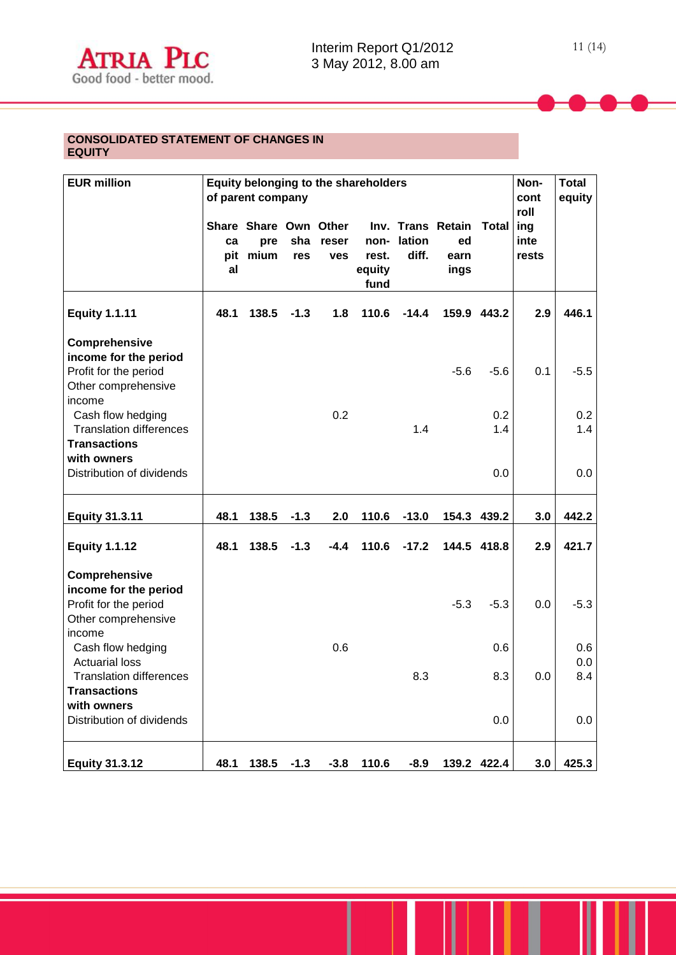### **CONSOLIDATED STATEMENT OF CHANGES IN EQUITY**

| <b>EUR million</b>                                                                                  | Equity belonging to the shareholders<br>of parent company |                                      |            |                     |                                 | Non-<br>cont<br>roll | <b>Total</b><br>equity                  |              |                      |            |
|-----------------------------------------------------------------------------------------------------|-----------------------------------------------------------|--------------------------------------|------------|---------------------|---------------------------------|----------------------|-----------------------------------------|--------------|----------------------|------------|
|                                                                                                     | ca<br>pit<br>al                                           | Share Share Own Other<br>pre<br>mium | sha<br>res | reser<br><b>ves</b> | non-<br>rest.<br>equity<br>fund | lation<br>diff.      | Inv. Trans Retain<br>ed<br>earn<br>ings | <b>Total</b> | ing<br>inte<br>rests |            |
| <b>Equity 1.1.11</b>                                                                                | 48.1                                                      | 138.5                                | $-1.3$     | 1.8                 | 110.6                           | $-14.4$              |                                         | 159.9 443.2  | 2.9                  | 446.1      |
| Comprehensive<br>income for the period<br>Profit for the period<br>Other comprehensive              |                                                           |                                      |            |                     |                                 |                      | $-5.6$                                  | $-5.6$       | 0.1                  | $-5.5$     |
| income<br>Cash flow hedging<br><b>Translation differences</b><br><b>Transactions</b><br>with owners |                                                           |                                      |            | 0.2                 |                                 | 1.4                  |                                         | 0.2<br>1.4   |                      | 0.2<br>1.4 |
| Distribution of dividends                                                                           |                                                           |                                      |            |                     |                                 |                      |                                         | 0.0          |                      | 0.0        |
| <b>Equity 31.3.11</b>                                                                               | 48.1                                                      | 138.5                                | $-1.3$     | 2.0                 | 110.6                           | $-13.0$              |                                         | 154.3 439.2  | 3.0                  | 442.2      |
| <b>Equity 1.1.12</b>                                                                                | 48.1                                                      | 138.5                                | $-1.3$     | $-4.4$              | 110.6                           | $-17.2$              |                                         | 144.5 418.8  | 2.9                  | 421.7      |
| Comprehensive<br>income for the period<br>Profit for the period<br>Other comprehensive<br>income    |                                                           |                                      |            |                     |                                 |                      | $-5.3$                                  | $-5.3$       | 0.0                  | $-5.3$     |
| Cash flow hedging<br><b>Actuarial loss</b>                                                          |                                                           |                                      |            | 0.6                 |                                 |                      |                                         | 0.6          |                      | 0.6<br>0.0 |
| <b>Translation differences</b><br><b>Transactions</b>                                               |                                                           |                                      |            |                     |                                 | 8.3                  |                                         | 8.3          | 0.0                  | 8.4        |
| with owners<br>Distribution of dividends                                                            |                                                           |                                      |            |                     |                                 |                      |                                         | 0.0          |                      | 0.0        |
| <b>Equity 31.3.12</b>                                                                               | 48.1                                                      | 138.5                                | $-1.3$     | $-3.8$              | 110.6                           | $-8.9$               |                                         | 139.2 422.4  | 3.0                  | 425.3      |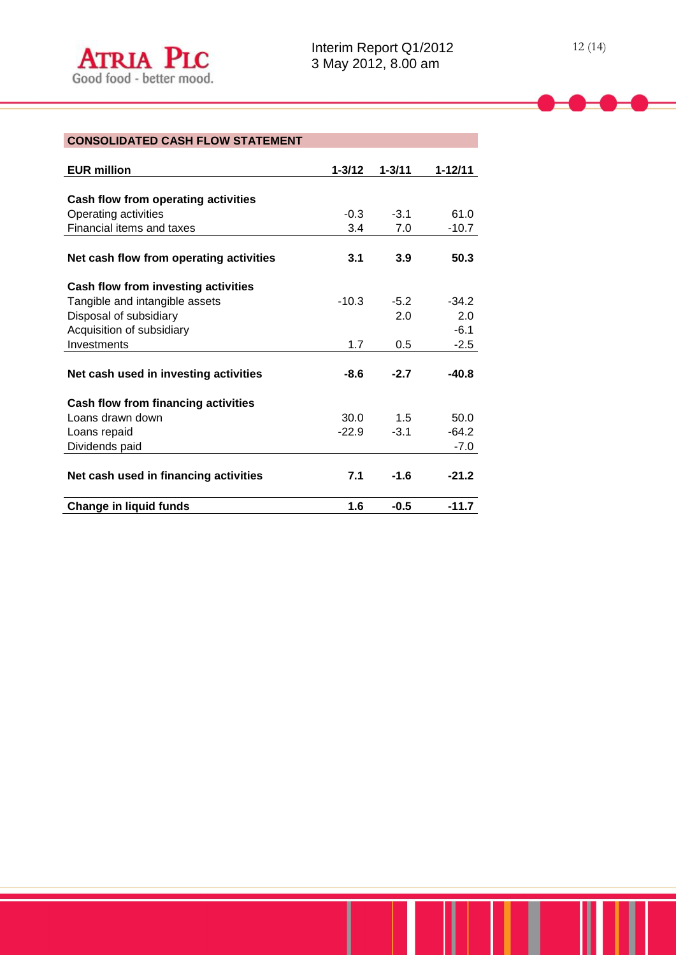# **CONSOLIDATED CASH FLOW STATEMENT**

| <b>EUR million</b>                      | $1 - 3/12$ | $1 - 3/11$ | $1 - 12/11$ |
|-----------------------------------------|------------|------------|-------------|
|                                         |            |            |             |
| Cash flow from operating activities     |            |            |             |
| Operating activities                    | $-0.3$     | $-3.1$     | 61.0        |
| Financial items and taxes               | 3.4        | 7.0        | $-10.7$     |
|                                         |            |            |             |
| Net cash flow from operating activities | 3.1        | 3.9        | 50.3        |
| Cash flow from investing activities     |            |            |             |
| Tangible and intangible assets          | $-10.3$    | $-5.2$     | $-34.2$     |
| Disposal of subsidiary                  |            | 2.0        | 2.0         |
| Acquisition of subsidiary               |            |            | $-6.1$      |
| Investments                             | 1.7        | 0.5        | $-2.5$      |
|                                         |            |            |             |
| Net cash used in investing activities   | $-8.6$     | $-2.7$     | $-40.8$     |
| Cash flow from financing activities     |            |            |             |
| Loans drawn down                        | 30.0       | 1.5        | 50.0        |
| Loans repaid                            | $-22.9$    | $-3.1$     | $-64.2$     |
| Dividends paid                          |            |            | $-7.0$      |
|                                         |            |            |             |
| Net cash used in financing activities   | 7.1        | $-1.6$     | $-21.2$     |
| <b>Change in liquid funds</b>           | 1.6        | $-0.5$     | $-11.7$     |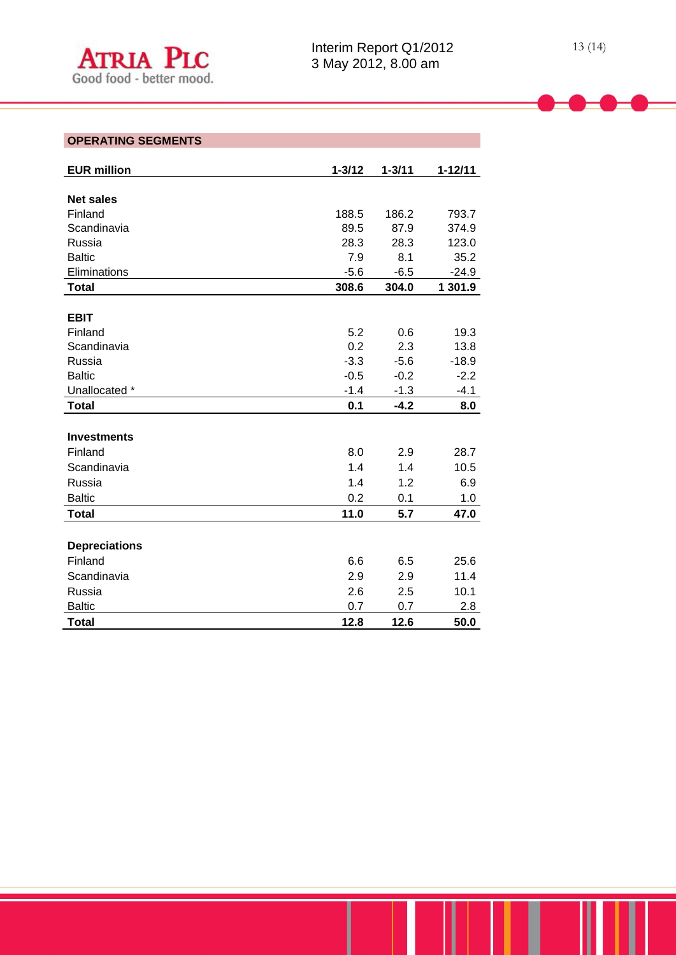| <b>EUR million</b>   | $1 - 3/12$ | $1 - 3/11$ | $1 - 12/11$ |
|----------------------|------------|------------|-------------|
|                      |            |            |             |
| <b>Net sales</b>     |            |            |             |
| Finland              | 188.5      | 186.2      | 793.7       |
| Scandinavia          | 89.5       | 87.9       | 374.9       |
| Russia               | 28.3       | 28.3       | 123.0       |
| <b>Baltic</b>        | 7.9        | 8.1        | 35.2        |
| Eliminations         | $-5.6$     | $-6.5$     | $-24.9$     |
| <b>Total</b>         | 308.6      | 304.0      | 1 301.9     |
|                      |            |            |             |
| <b>EBIT</b>          |            |            |             |
| Finland              | 5.2        | 0.6        | 19.3        |
| Scandinavia          | 0.2        | 2.3        | 13.8        |
| Russia               | $-3.3$     | $-5.6$     | $-18.9$     |
| <b>Baltic</b>        | $-0.5$     | $-0.2$     | $-2.2$      |
| Unallocated *        | $-1.4$     | $-1.3$     | $-4.1$      |
| <b>Total</b>         | 0.1        | $-4.2$     | 8.0         |
|                      |            |            |             |
| <b>Investments</b>   |            |            |             |
| Finland              | 8.0        | 2.9        | 28.7        |
| Scandinavia          | 1.4        | 1.4        | 10.5        |
| Russia               | 1.4        | 1.2        | 6.9         |
| <b>Baltic</b>        | 0.2        | 0.1        | 1.0         |
| <b>Total</b>         | 11.0       | 5.7        | 47.0        |
|                      |            |            |             |
| <b>Depreciations</b> |            |            |             |
| Finland              | 6.6        | 6.5        | 25.6        |
| Scandinavia          | 2.9        | 2.9        | 11.4        |
| Russia               | 2.6        | 2.5        | 10.1        |
| <b>Baltic</b>        | 0.7        | 0.7        | 2.8         |
| <b>Total</b>         | 12.8       | 12.6       | 50.0        |